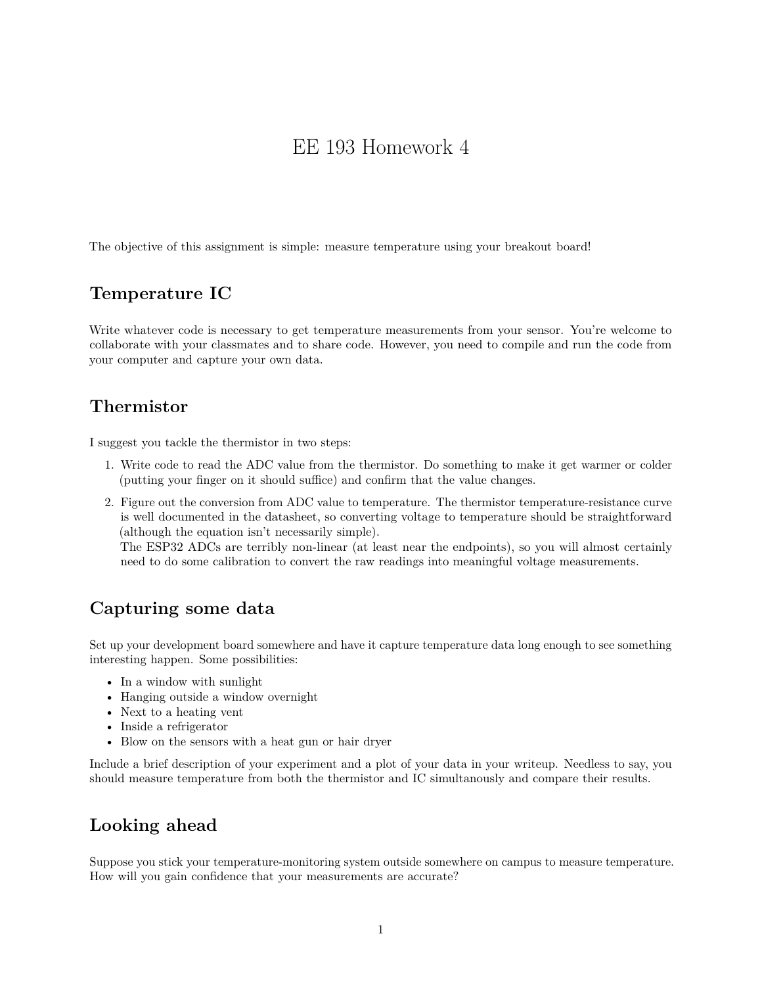# EE 193 Homework 4

The objective of this assignment is simple: measure temperature using your breakout board!

#### **Temperature IC**

Write whatever code is necessary to get temperature measurements from your sensor. You're welcome to collaborate with your classmates and to share code. However, you need to compile and run the code from your computer and capture your own data.

#### **Thermistor**

I suggest you tackle the thermistor in two steps:

- 1. Write code to read the ADC value from the thermistor. Do something to make it get warmer or colder (putting your finger on it should suffice) and confirm that the value changes.
- 2. Figure out the conversion from ADC value to temperature. The thermistor temperature-resistance curve is well documented in the datasheet, so converting voltage to temperature should be straightforward (although the equation isn't necessarily simple).

The ESP32 ADCs are terribly non-linear (at least near the endpoints), so you will almost certainly need to do some calibration to convert the raw readings into meaningful voltage measurements.

## **Capturing some data**

Set up your development board somewhere and have it capture temperature data long enough to see something interesting happen. Some possibilities:

- In a window with sunlight
- Hanging outside a window overnight
- Next to a heating vent
- Inside a refrigerator
- Blow on the sensors with a heat gun or hair dryer

Include a brief description of your experiment and a plot of your data in your writeup. Needless to say, you should measure temperature from both the thermistor and IC simultanously and compare their results.

## **Looking ahead**

Suppose you stick your temperature-monitoring system outside somewhere on campus to measure temperature. How will you gain confidence that your measurements are accurate?